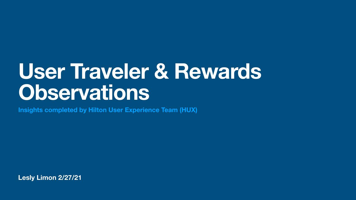**Lesly Limon 2/27/21**

# **User Traveler & Rewards Observations**

**Insights completed by Hilton User Experience Team (HUX)**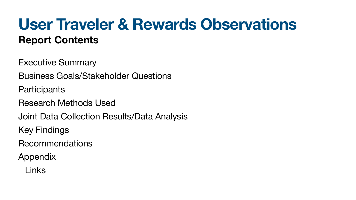### **User Traveler & Rewards Observations Report Contents**

Executive Summary Business Goals/Stakeholder Questions **Participants** Research Methods Used Joint Data Collection Results/Data Analysis Key Findings Recommendations Appendix Links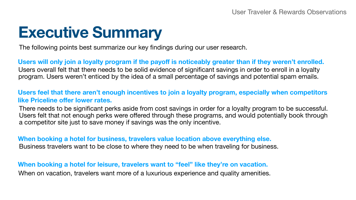## **Executive Summary**

The following points best summarize our key findings during our user research.

Users will only join a loyalty program if the payoff is noticeably greater than if they weren't enrolled. Users overall felt that there needs to be solid evidence of significant savings in order to enroll in a loyalty program. Users weren't enticed by the idea of a small percentage of savings and potential spam emails.

### **Users feel that there aren't enough incentives to join a loyalty program, especially when competitors like Priceline offer lower rates.**

**When booking a hotel for business, travelers value location above everything else.** Business travelers want to be close to where they need to be when traveling for business.

There needs to be significant perks aside from cost savings in order for a loyalty program to be successful. Users felt that not enough perks were offered through these programs, and would potentially book through a competitor site just to save money if savings was the only incentive.

**When booking a hotel for leisure, travelers want to "feel" like they're on vacation.** When on vacation, travelers want more of a luxurious experience and quality amenities.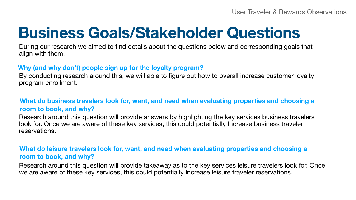## **Business Goals/Stakeholder Questions**

User Traveler & Rewards Observations

During our research we aimed to find details about the questions below and corresponding goals that align with them.

**Why (and why don't) people sign up for the loyalty program?** By conducting research around this, we will able to figure out how to overall increase customer loyalty program enrollment.

### **What do leisure travelers look for, want, and need when evaluating properties and choosing a room to book, and why?**

### **What do business travelers look for, want, and need when evaluating properties and choosing a room to book, and why?**

Research around this question will provide answers by highlighting the key services business travelers look for. Once we are aware of these key services, this could potentially Increase business traveler reservations.

Research around this question will provide takeaway as to the key services leisure travelers look for. Once we are aware of these key services, this could potentially Increase leisure traveler reservations.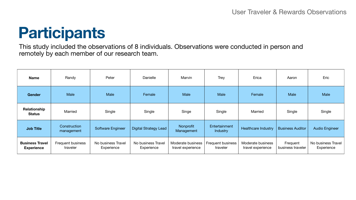### **Participants**

### User Traveler & Rewards Observations



This study included the observations of 8 individuals. Observations were conducted in person and remotely by each member of our research team.

| <b>Name</b>                                 | Randy                                | Peter                            | <b>Danielle</b>                  | Marvin                                        | <b>Trey</b>                          | Erica                                  | Aaron                         | Eric                           |
|---------------------------------------------|--------------------------------------|----------------------------------|----------------------------------|-----------------------------------------------|--------------------------------------|----------------------------------------|-------------------------------|--------------------------------|
| Gender                                      | <b>Male</b>                          | <b>Male</b>                      | Female                           | <b>Male</b>                                   | <b>Male</b>                          | Female                                 | <b>Male</b>                   | <b>Male</b>                    |
| <b>Relationship</b><br><b>Status</b>        | <b>Married</b>                       | Single                           | Single                           | Singe                                         | Single                               | <b>Married</b>                         | Single                        | Single                         |
| <b>Job Title</b>                            | Construction<br>management           | <b>Software Engineer</b>         | <b>Digital Strategy Lead</b>     | Nonprofit<br>Management                       | Entertainment<br><b>Industry</b>     | <b>Healthcare Industry</b>             | <b>Business Auditor</b>       | <b>Audio Engineer</b>          |
| <b>Business Travel</b><br><b>Experience</b> | <b>Frequent business</b><br>traveler | No business Travel<br>Experience | No business Travel<br>Experience | <b>Moderate business</b><br>travel experience | <b>Frequent business</b><br>traveler | Moderate business<br>travel experience | Frequent<br>business traveler | No business Trav<br>Experience |

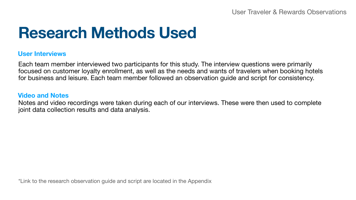### **Research Methods Used**

User Traveler & Rewards Observations

#### **User Interviews**

Each team member interviewed two participants for this study. The interview questions were primarily focused on customer loyalty enrollment, as well as the needs and wants of travelers when booking hotels for business and leisure. Each team member followed an observation guide and script for consistency.

\*Link to the research observation guide and script are located in the Appendix

### **Video and Notes**

Notes and video recordings were taken during each of our interviews. These were then used to complete joint data collection results and data analysis.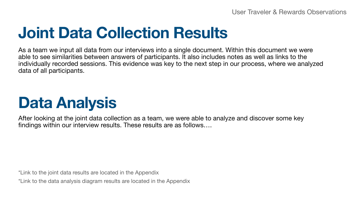## **Joint Data Collection Results**

User Traveler & Rewards Observations



As a team we input all data from our interviews into a single document. Within this document we were able to see similarities between answers of participants. It also includes notes as well as links to the individually recorded sessions. This evidence was key to the next step in our process, where we analyzed data of all participants.

After looking at the joint data collection as a team, we were able to analyze and discover some key findings within our interview results. These results are as follows….

\*Link to the joint data results are located in the Appendix \*Link to the data analysis diagram results are located in the Appendix

## **Data Analysis**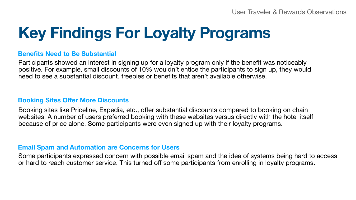# **Key Findings For Loyalty Programs**

User Traveler & Rewards Observations

### **Benefits Need to Be Substantial**

Participants showed an interest in signing up for a loyalty program only if the benefit was noticeably positive. For example, small discounts of 10% wouldn't entice the participants to sign up, they would need to see a substantial discount, freebies or benefits that aren't available otherwise.

### **Booking Sites Offer More Discounts**

Booking sites like Priceline, Expedia, etc., offer substantial discounts compared to booking on chain websites. A number of users preferred booking with these websites versus directly with the hotel itself because of price alone. Some participants were even signed up with their loyalty programs.

### **Email Spam and Automation are Concerns for Users**

Some participants expressed concern with possible email spam and the idea of systems being hard to access or hard to reach customer service. This turned off some participants from enrolling in loyalty programs.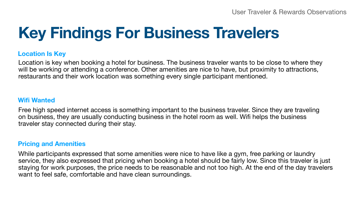# **Key Findings For Business Travelers**

User Traveler & Rewards Observations

### **Location Is Key**

Location is key when booking a hotel for business. The business traveler wants to be close to where they will be working or attending a conference. Other amenities are nice to have, but proximity to attractions, restaurants and their work location was something every single participant mentioned.

### **Wifi Wanted**

Free high speed internet access is something important to the business traveler. Since they are traveling on business, they are usually conducting business in the hotel room as well. Wifi helps the business traveler stay connected during their stay.

### **Pricing and Amenities**

While participants expressed that some amenities were nice to have like a gym, free parking or laundry service, they also expressed that pricing when booking a hotel should be fairly low. Since this traveler is just staying for work purposes, the price needs to be reasonable and not too high. At the end of the day travelers want to feel safe, comfortable and have clean surroundings.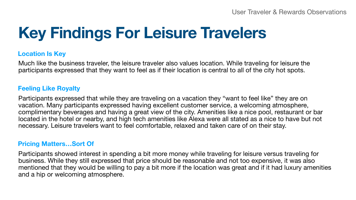# **Key Findings For Leisure Travelers**

### **Location Is Key**

Much like the business traveler, the leisure traveler also values location. While traveling for leisure the participants expressed that they want to feel as if their location is central to all of the city hot spots.

### **Feeling Like Royalty**

Participants expressed that while they are traveling on a vacation they "want to feel like" they are on vacation. Many participants expressed having excellent customer service, a welcoming atmosphere, complimentary beverages and having a great view of the city. Amenities like a nice pool, restaurant or bar located in the hotel or nearby, and high tech amenities like Alexa were all stated as a nice to have but not necessary. Leisure travelers want to feel comfortable, relaxed and taken care of on their stay.

### **Pricing Matters…Sort Of**

Participants showed interest in spending a bit more money while traveling for leisure versus traveling for business. While they still expressed that price should be reasonable and not too expensive, it was also mentioned that they would be willing to pay a bit more if the location was great and if it had luxury amenities and a hip or welcoming atmosphere.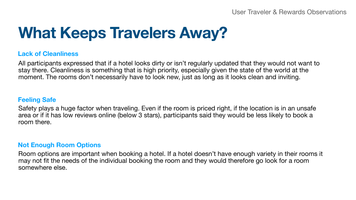# **What Keeps Travelers Away?**

User Traveler & Rewards Observations



### **Lack of Cleanliness**

All participants expressed that if a hotel looks dirty or isn't regularly updated that they would not want to stay there. Cleanliness is something that is high priority, especially given the state of the world at the moment. The rooms don't necessarily have to look new, just as long as it looks clean and inviting.

### **Feeling Safe**

Safety plays a huge factor when traveling. Even if the room is priced right, if the location is in an unsafe area or if it has low reviews online (below 3 stars), participants said they would be less likely to book a room there.

#### **Not Enough Room Options**

Room options are important when booking a hotel. If a hotel doesn't have enough variety in their rooms it may not fit the needs of the individual booking the room and they would therefore go look for a room somewhere else.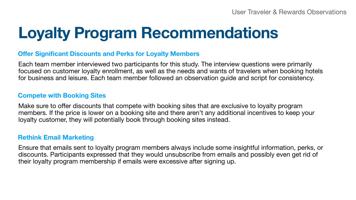# **Loyalty Program Recommendations**

### **Offer Significant Discounts and Perks for Loyalty Members**

Each team member interviewed two participants for this study. The interview questions were primarily focused on customer loyalty enrollment, as well as the needs and wants of travelers when booking hotels for business and leisure. Each team member followed an observation guide and script for consistency.

### **Compete with Booking Sites**

Make sure to offer discounts that compete with booking sites that are exclusive to loyalty program members. If the price is lower on a booking site and there aren't any additional incentives to keep your loyalty customer, they will potentially book through booking sites instead.

### **Rethink Email Marketing**

Ensure that emails sent to loyalty program members always include some insightful information, perks, or discounts. Participants expressed that they would unsubscribe from emails and possibly even get rid of their loyalty program membership if emails were excessive after signing up.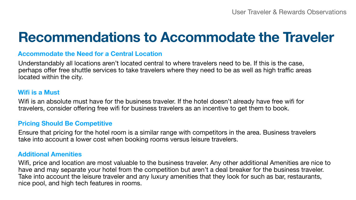### **Recommendations to Accommodate the Traveler**

User Traveler & Rewards Observations

### **Accommodate the Need for a Central Location**

Understandably all locations aren't located central to where travelers need to be. If this is the case, perhaps offer free shuttle services to take travelers where they need to be as well as high traffic areas located within the city.

#### **Wifi is a Must**

Wifi is an absolute must have for the business traveler. If the hotel doesn't already have free wifi for travelers, consider offering free wifi for business travelers as an incentive to get them to book.

#### **Pricing Should Be Competitive**

Ensure that pricing for the hotel room is a similar range with competitors in the area. Business travelers take into account a lower cost when booking rooms versus leisure travelers.

#### **Additional Amenities**

Wifi, price and location are most valuable to the business traveler. Any other additional Amenities are nice to have and may separate your hotel from the competition but aren't a deal breaker for the business traveler. Take into account the leisure traveler and any luxury amenities that they look for such as bar, restaurants, nice pool, and high tech features in rooms.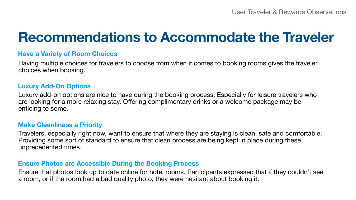### **Recommendations to Accommodate the Traveler**

### **Have a Variety of Room Choices**

Having multiple choices for travelers to choose from when it comes to booking rooms gives the traveler choices when booking.

### **Luxury Add-On Options**

Luxury add-on options are nice to have during the booking process. Especially for leisure travelers who are looking for a more relaxing stay. Offering complimentary drinks or a welcome package may be enticing to some.

### **Make Cleanliness a Priority**

Travelers, especially right now, want to ensure that where they are staying is clean, safe and comfortable. Providing some sort of standard to ensure that clean process are being kept in place during these unprecedented times.

### **Ensure Photos are Accessible During the Booking Process**

Ensure that photos look up to date online for hotel rooms. Participants expressed that if they couldn't see a room, or if the room had a bad quality photo, they were hesitant about booking it.